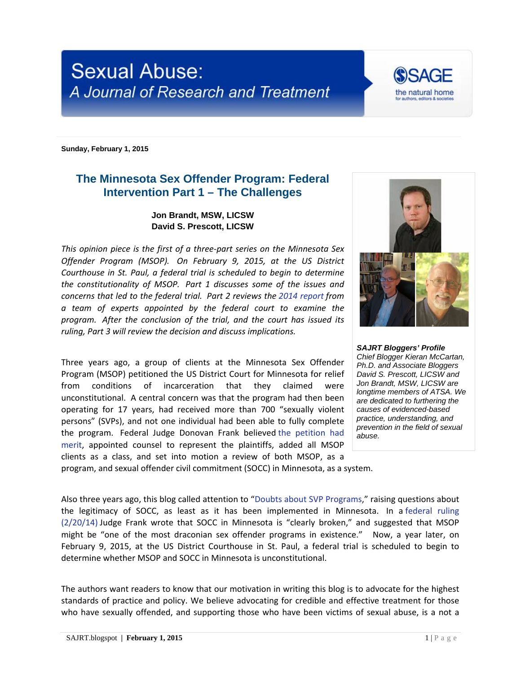## **Sexual Abuse:** A Journal of Research and Treatment

**Sunday, February 1, 2015**

## **The Minnesota Sex Offender Program: Federal Intervention Part 1 – The Challenges**

## **Jon Brandt, MSW, LICSW David S. Prescott, LICSW**

*This opinion piece is the first of a three-part series on the Minnesota Sex Offender Program (MSOP). On February 9, 2015, at the US District Courthouse in St. Paul, a federal trial is scheduled to begin to determine the constitutionality of MSOP. Part 1 discusses some of the issues and concerns that led to the federal trial. Part 2 reviews the [2014 report](http://stmedia.startribune.com/documents/Expert+panel+report+on+sex+offender+program.pdf) from a team of experts appointed by the federal court to examine the program. After the conclusion of the trial, and the court has issued its ruling, Part 3 will review the decision and discuss implications.*

Three years ago, a group of clients at the Minnesota Sex Offender Program (MSOP) petitioned the US District Court for Minnesota for relief from conditions of incarceration that they claimed were unconstitutional. A central concern was that the program had then been operating for 17 years, had received more than 700 "sexually violent persons" (SVPs), and not one individual had been able to fully complete the program. Federal Judge Donovan Frank believed [the petition had](http://www.dhs.state.mn.us/main/groups/agencywide/documents/pub/dhs16_172723.pdf)  [merit,](http://www.dhs.state.mn.us/main/groups/agencywide/documents/pub/dhs16_172723.pdf) appointed counsel to represent the plaintiffs, added all MSOP clients as a class, and set into motion a review of both MSOP, as a program, and sexual offender civil commitment (SOCC) in Minnesota, as a system.

*Chief Blogger Kieran McCartan, Ph.D. and Associate Bloggers David S. Prescott, LICSW and Jon Brandt, MSW, LICSW are longtime members of ATSA. We are dedicated to furthering the causes of evidenced-based practice, understanding, and prevention in the field of sexual abuse.*

*SAJRT Bloggers' Profile*

Also three years ago, this blog called attention to ["Doubts about SVP Programs,](http://sajrt.blogspot.com/2012/02/guest-blog-from-jon-brandt-regarding.html)" raising questions about the legitimacy of SOCC, as least as it has been implemented in Minnesota. In a [federal ruling](https://cases.justia.com/federal/district-courts/minnesota/mndce/0:2011cv03659/123875/427/0.pdf)  [\(2/20/14\)](https://cases.justia.com/federal/district-courts/minnesota/mndce/0:2011cv03659/123875/427/0.pdf) Judge Frank wrote that SOCC in Minnesota is "clearly broken," and suggested that MSOP might be "one of the most draconian sex offender programs in existence." Now, a year later, on February 9, 2015, at the US District Courthouse in St. Paul, a federal trial is scheduled to begin to determine whether MSOP and SOCC in Minnesota is unconstitutional.

The authors want readers to know that our motivation in writing this blog is to advocate for the highest standards of practice and policy. We believe advocating for credible and effective treatment for those who have sexually offended, and supporting those who have been victims of sexual abuse, is a not a



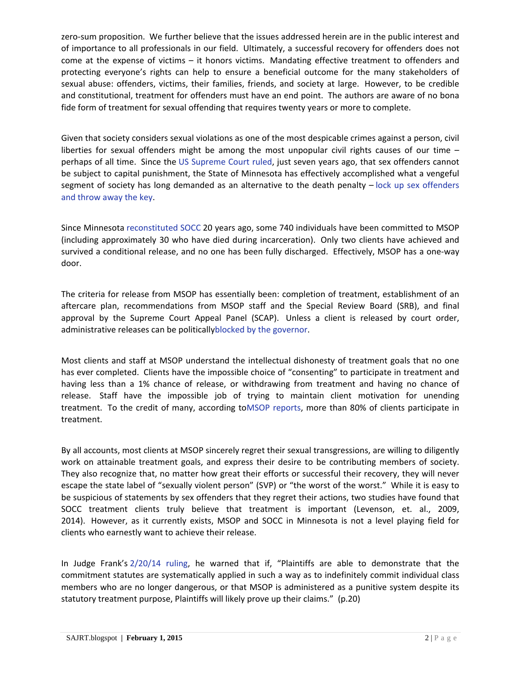zero-sum proposition. We further believe that the issues addressed herein are in the public interest and of importance to all professionals in our field. Ultimately, a successful recovery for offenders does not come at the expense of victims – it honors victims. Mandating effective treatment to offenders and protecting everyone's rights can help to ensure a beneficial outcome for the many stakeholders of sexual abuse: offenders, victims, their families, friends, and society at large. However, to be credible and constitutional, treatment for offenders must have an end point. The authors are aware of no bona fide form of treatment for sexual offending that requires twenty years or more to complete.

Given that society considers sexual violations as one of the most despicable crimes against a person, civil liberties for sexual offenders might be among the most unpopular civil rights causes of our time – perhaps of all time. Since the [US Supreme Court ruled,](http://www.deathpenaltyinfo.org/kennedy-v-louisiana-no-07-343) just seven years ago, that sex offenders cannot be subject to capital punishment, the State of Minnesota has effectively accomplished what a vengeful segment of society has long demanded as an alternative to the death penalty – [lock up sex offenders](http://www.kare11.com/story/news/investigations/2015/01/29/sex-offenders-treatment-program-moose-lake-civil-committment/22520603/)  [and throw away the key.](http://www.kare11.com/story/news/investigations/2015/01/29/sex-offenders-treatment-program-moose-lake-civil-committment/22520603/)

Since Minnesota [reconstituted SOCC](http://www.auditor.leg.state.mn.us/ped/1994/psycho.htm) 20 years ago, some 740 individuals have been committed to MSOP (including approximately 30 who have died during incarceration). Only two clients have achieved and survived a conditional release, and no one has been fully discharged. Effectively, MSOP has a one-way door.

The criteria for release from MSOP has essentially been: completion of treatment, establishment of an aftercare plan, recommendations from MSOP staff and the Special Review Board (SRB), and final approval by the Supreme Court Appeal Panel (SCAP). Unless a client is released by court order, administrative releases can be politicall[yblocked by the governor.](http://www.scribd.com/doc/183976553/Letter-from-Gov-Mark-Dayton-to-DHS-Commissioner-Lucinda-Jesson)

Most clients and staff at MSOP understand the intellectual dishonesty of treatment goals that no one has ever completed. Clients have the impossible choice of "consenting" to participate in treatment and having less than a 1% chance of release, or withdrawing from treatment and having no chance of release. Staff have the impossible job of trying to maintain client motivation for unending treatment. To the credit of many, according t[oMSOP reports,](http://www.dhs.state.mn.us/main/idcplg?IdcService=GET_DYNAMIC_CONVERSION&dID=161935) more than 80% of clients participate in treatment.

By all accounts, most clients at MSOP sincerely regret their sexual transgressions, are willing to diligently work on attainable treatment goals, and express their desire to be contributing members of society. They also recognize that, no matter how great their efforts or successful their recovery, they will never escape the state label of "sexually violent person" (SVP) or "the worst of the worst." While it is easy to be suspicious of statements by sex offenders that they regret their actions, two studies have found that SOCC treatment clients truly believe that treatment is important (Levenson, et. al., 2009, 2014). However, as it currently exists, MSOP and SOCC in Minnesota is not a level playing field for clients who earnestly want to achieve their release.

In Judge Frank's [2/20/14 ruling,](https://cases.justia.com/federal/district-courts/minnesota/mndce/0:2011cv03659/123875/427/0.pdf) he warned that if, "Plaintiffs are able to demonstrate that the commitment statutes are systematically applied in such a way as to indefinitely commit individual class members who are no longer dangerous, or that MSOP is administered as a punitive system despite its statutory treatment purpose, Plaintiffs will likely prove up their claims." (p.20)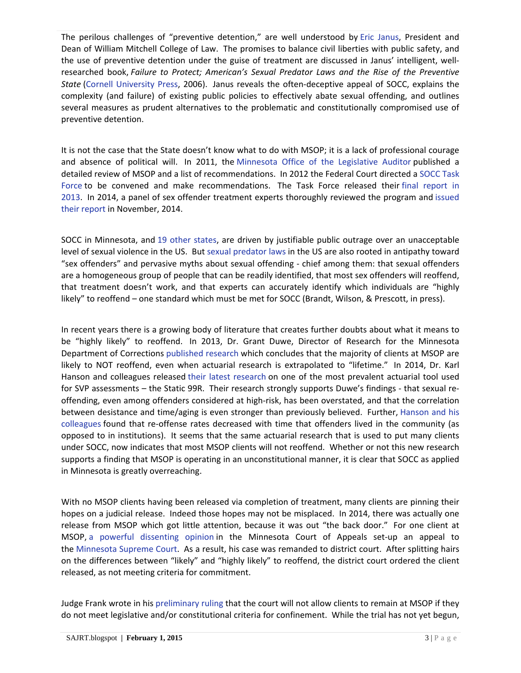The perilous challenges of "preventive detention," are well understood by [Eric Janus,](http://web.wmitchell.edu/biography/eric-janus-bibliography/) President and Dean of William Mitchell College of Law. The promises to balance civil liberties with public safety, and the use of preventive detention under the guise of treatment are discussed in Janus' intelligent, wellresearched book, *Failure to Protect; American's Sexual Predator Laws and the Rise of the Preventive State* [\(Cornell University Press,](http://www.cornellpress.cornell.edu/book/?GCOI=80140100043740) 2006). Janus reveals the often-deceptive appeal of SOCC, explains the complexity (and failure) of existing public policies to effectively abate sexual offending, and outlines several measures as prudent alternatives to the problematic and constitutionally compromised use of preventive detention.

It is not the case that the State doesn't know what to do with MSOP; it is a lack of professional courage and absence of political will. In 2011, the [Minnesota Office of the Legislative Auditor](http://www.auditor.leg.state.mn.us/ped/pedrep/ccso.pdf) published a detailed review of MSOP and a list of recommendations. In 2012 the Federal Court directed a [SOCC Task](http://www.dhs.state.mn.us/main/idcplg?IdcService=GET_DYNAMIC_CONVERSION&RevisionSelectionMethod=LatestReleased&dDocName=dhs16_174571)  [Force](http://www.dhs.state.mn.us/main/idcplg?IdcService=GET_DYNAMIC_CONVERSION&RevisionSelectionMethod=LatestReleased&dDocName=dhs16_174571) to be convened and make recommendations. The Task Force released their [final report in](https://edocs.dhs.state.mn.us/lfserver/Public/DHS-6641B-ENG)  [2013.](https://edocs.dhs.state.mn.us/lfserver/Public/DHS-6641B-ENG) In 2014, a panel of sex offender treatment experts thoroughly reviewed the program and [issued](http://stmedia.startribune.com/documents/Expert+panel+report+on+sex+offender+program.pdf)  [their report](http://stmedia.startribune.com/documents/Expert+panel+report+on+sex+offender+program.pdf) in November, 2014.

SOCC in Minnesota, and [19 other states,](http://www.wsipp.wa.gov/ReportFile/989/Wsipp_Comparison-of-State-Laws-Authorizing-Involuntary-Commitment-of-Sexually-Violent-Predators-2006-Update-Revised_Full-Report.pdf) are driven by justifiable public outrage over an unacceptable level of sexual violence in the US. But [sexual predator laws](http://www.fjc.gov/public/pdf.nsf/lookup/NSPI201246.pdf/$file/NSPI201246.pdf) in the US are also rooted in antipathy toward "sex offenders" and pervasive myths about sexual offending - chief among them: that sexual offenders are a homogeneous group of people that can be readily identified, that most sex offenders will reoffend, that treatment doesn't work, and that experts can accurately identify which individuals are "highly likely" to reoffend – one standard which must be met for SOCC (Brandt, Wilson, & Prescott, in press).

In recent years there is a growing body of literature that creates further doubts about what it means to be "highly likely" to reoffend. In 2013, Dr. Grant Duwe, Director of Research for the Minnesota Department of Corrections [published research](http://sajrt.blogspot.com/2013/10/svp-risk-challenging-likely-to-reoffend.html) which concludes that the majority of clients at MSOP are likely to NOT reoffend, even when actuarial research is extrapolated to "lifetime." In 2014, Dr. Karl Hanson and colleagues released [their latest research](http://jiv.sagepub.com/content/29/15/2792) on one of the most prevalent actuarial tool used for SVP assessments – the Static 99R. Their research strongly supports Duwe's findings - that sexual reoffending, even among offenders considered at high-risk, has been overstated, and that the correlation between desistance and time/aging is even stronger than previously believed. Further, [Hanson and his](http://www.google.com/url?sa=t&rct=j&q=&esrc=s&source=web&cd=1&cad=rja&uact=8&ved=0CCAQFjAA&url=http%3A%2F%2Fwww.researchgate.net%2Fprofile%2FLeslie_Helmus%2Fpublication%2F261069441_High-Risk_Sex_Offenders_May_Not_Be_High_Risk_Forever%2Flinks%2F0c960530a731d3c673000000.pdf&ei=aNXMVNbMHfWBsQSgjIKwCw&usg=AFQjCNGYYlrohSCS8Yu43Ni2tCf4Lyj0Sg&bvm=bv.85076809,d.cWc)  [colleagues](http://www.google.com/url?sa=t&rct=j&q=&esrc=s&source=web&cd=1&cad=rja&uact=8&ved=0CCAQFjAA&url=http%3A%2F%2Fwww.researchgate.net%2Fprofile%2FLeslie_Helmus%2Fpublication%2F261069441_High-Risk_Sex_Offenders_May_Not_Be_High_Risk_Forever%2Flinks%2F0c960530a731d3c673000000.pdf&ei=aNXMVNbMHfWBsQSgjIKwCw&usg=AFQjCNGYYlrohSCS8Yu43Ni2tCf4Lyj0Sg&bvm=bv.85076809,d.cWc) found that re-offense rates decreased with time that offenders lived in the community (as opposed to in institutions). It seems that the same actuarial research that is used to put many clients under SOCC, now indicates that most MSOP clients will not reoffend. Whether or not this new research supports a finding that MSOP is operating in an unconstitutional manner, it is clear that SOCC as applied in Minnesota is greatly overreaching.

With no MSOP clients having been released via completion of treatment, many clients are pinning their hopes on a judicial release. Indeed those hopes may not be misplaced. In 2014, there was actually one release from MSOP which got little attention, because it was out "the back door." For one client at MSOP, [a powerful dissenting opinion](http://mn.gov/lawlib/archive/ctapun/1303/opa121691-031813.pdf) in the Minnesota Court of Appeals set-up an appeal to the [Minnesota Supreme Court.](http://caselaw.findlaw.com/mn-supreme-court/1664376.html) As a result, his case was remanded to district court. After splitting hairs on the differences between "likely" and "highly likely" to reoffend, the district court ordered the client released, as not meeting criteria for commitment.

Judge Frank wrote in his [preliminary ruling](https://cases.justia.com/federal/district-courts/minnesota/mndce/0:2011cv03659/123875/427/0.pdf) that the court will not allow clients to remain at MSOP if they do not meet legislative and/or constitutional criteria for confinement. While the trial has not yet begun,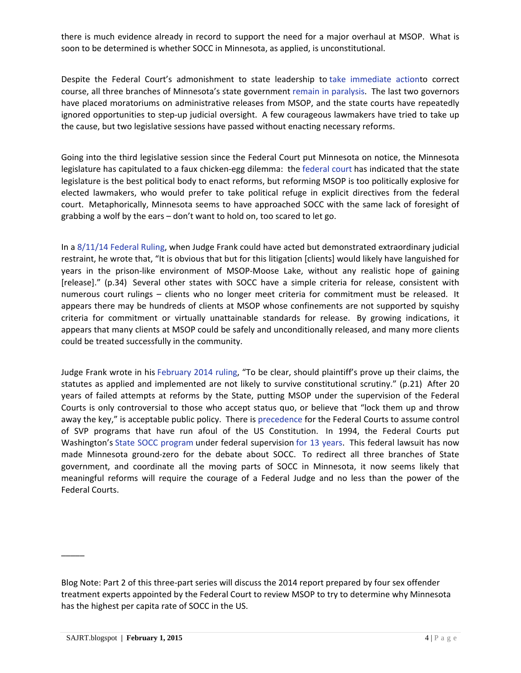there is much evidence already in record to support the need for a major overhaul at MSOP. What is soon to be determined is whether SOCC in Minnesota, as applied, is unconstitutional.

Despite the Federal Court's admonishment to state leadership to [take immediate actiont](http://politicsinminnesota.com/2013/03/magnuson-act-now-on-msop-or-courts-will/)o correct course, all three branches of Minnesota's state government [remain in paralysis.](http://www.mprnews.org/story/2014/05/19/daily-circuit-sex-offenders) The last two governors have placed moratoriums on administrative releases from MSOP, and the state courts have repeatedly ignored opportunities to step-up judicial oversight. A few courageous lawmakers have tried to take up the cause, but two legislative sessions have passed without enacting necessary reforms.

Going into the third legislative session since the Federal Court put Minnesota on notice, the Minnesota legislature has capitulated to a faux chicken-egg dilemma: the [federal court](https://cases.justia.com/federal/district-courts/minnesota/mndce/0:2011cv03659/123875/427/0.pdf) has indicated that the state legislature is the best political body to enact reforms, but reforming MSOP is too politically explosive for elected lawmakers, who would prefer to take political refuge in explicit directives from the federal court. Metaphorically, Minnesota seems to have approached SOCC with the same lack of foresight of grabbing a wolf by the ears – don't want to hold on, too scared to let go.

In a [8/11/14 Federal Ruling,](http://www.minnpost.com/sites/default/files/attachments/11cv3659ord081114.pdf) when Judge Frank could have acted but demonstrated extraordinary judicial restraint, he wrote that, "It is obvious that but for this litigation [clients] would likely have languished for years in the prison-like environment of MSOP-Moose Lake, without any realistic hope of gaining [release]." (p.34) Several other states with SOCC have a simple criteria for release, consistent with numerous court rulings – clients who no longer meet criteria for commitment must be released. It appears there may be hundreds of clients at MSOP whose confinements are not supported by squishy criteria for commitment or virtually unattainable standards for release. By growing indications, it appears that many clients at MSOP could be safely and unconditionally released, and many more clients could be treated successfully in the community.

Judge Frank wrote in his [February 2014 ruling,](https://cases.justia.com/federal/district-courts/minnesota/mndce/0:2011cv03659/123875/427/0.pdf) "To be clear, should plaintiff's prove up their claims, the statutes as applied and implemented are not likely to survive constitutional scrutiny." (p.21) After 20 years of failed attempts at reforms by the State, putting MSOP under the supervision of the Federal Courts is only controversial to those who accept status quo, or believe that "lock them up and throw away the key," is acceptable public policy. There is [precedence](http://www.clearinghouse.net/detail.php?id=985) for the Federal Courts to assume control of SVP programs that have run afoul of the US Constitution. In 1994, the Federal Courts put Washington's [State SOCC program](http://lawdigitalcommons.bc.edu/cgi/viewcontent.cgi?article=2401&context=bclr) under federal supervision [for 13 years.](http://www.dhs.state.mn.us/main/groups/agencywide/documents/pub/dhs16_172724.pdf) This federal lawsuit has now made Minnesota ground-zero for the debate about SOCC. To redirect all three branches of State government, and coordinate all the moving parts of SOCC in Minnesota, it now seems likely that meaningful reforms will require the courage of a Federal Judge and no less than the power of the Federal Courts.

 $\overline{\phantom{a}}$ 

Blog Note: Part 2 of this three-part series will discuss the 2014 report prepared by four sex offender treatment experts appointed by the Federal Court to review MSOP to try to determine why Minnesota has the highest per capita rate of SOCC in the US.